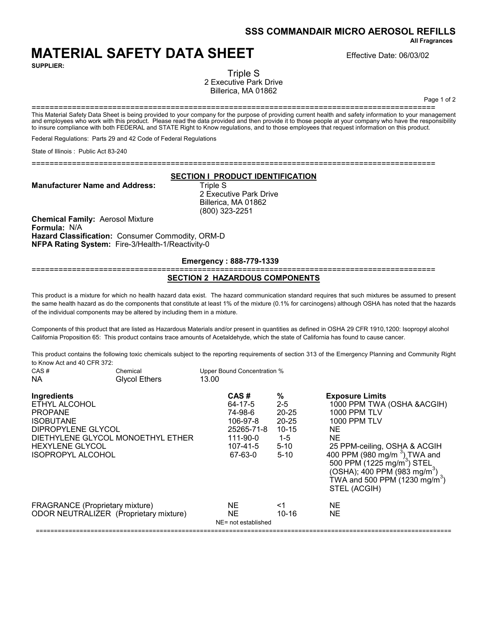**SSS COMMANDAIR MICRO AEROSOL REFILLS**

**All Fragrances**

# **MATERIAL SAFETY DATA SHEET** Effective Date: 06/03/02

**SUPPLIER:**

Triple S 2 Executive Park Drive Billerica, MA 01862

Page 1 of 2

========================================================================================== This Material Safety Data Sheet is being provided to your company for the purpose of providing current health and safety information to your management and employees who work with this product. Please read the data provided and then provide it to those people at your company who have the responsibility to insure compliance with both FEDERAL and STATE Right to Know regulations, and to those employees that request information on this product.

Federal Regulations: Parts 29 and 42 Code of Federal Regulations

State of Illinois : Public Act 83-240

==========================================================================================

### **SECTION I PRODUCT IDENTIFICATION**

**Manufacturer Name and Address:** Triple S

2 Executive Park Drive Billerica, MA 01862 (800) 323-2251

**Chemical Family:** Aerosol Mixture **Formula:** N/A **Hazard Classification:** Consumer Commodity, ORM-D **NFPA Rating System:** Fire-3/Health-1/Reactivity-0

## **Emergency : 888-779-1339**

==========================================================================================

#### **SECTION 2 HAZARDOUS COMPONENTS**

This product is a mixture for which no health hazard data exist. The hazard communication standard requires that such mixtures be assumed to present the same health hazard as do the components that constitute at least 1% of the mixture (0.1% for carcinogens) although OSHA has noted that the hazards of the individual components may be altered by including them in a mixture.

Components of this product that are listed as Hazardous Materials and/or present in quantities as defined in OSHA 29 CFR 1910,1200: Isopropyl alcohol California Proposition 65: This product contains trace amounts of Acetaldehyde, which the state of California has found to cause cancer.

This product contains the following toxic chemicals subject to the reporting requirements of section 313 of the Emergency Planning and Community Right to Know Act and 40 CFR 372: CAS # Chemical Upper Bound Concentration %

| ∪AS #<br>NA.                                                                                                                                   | Chemical<br><b>Glycol Ethers</b>       | 13.00 | opper Bound Concentration %                                                             |                                                                                      |                                                                                                                                                                                                                                                                                                                                                 |
|------------------------------------------------------------------------------------------------------------------------------------------------|----------------------------------------|-------|-----------------------------------------------------------------------------------------|--------------------------------------------------------------------------------------|-------------------------------------------------------------------------------------------------------------------------------------------------------------------------------------------------------------------------------------------------------------------------------------------------------------------------------------------------|
| Ingredients<br>ETHYL ALCOHOL<br><b>PROPANE</b><br><b>ISOBUTANE</b><br>DIPROPYLENE GLYCOL<br><b>HEXYLENE GLYCOL</b><br><b>ISOPROPYL ALCOHOL</b> | DIETHYLENE GLYCOL MONOETHYL ETHER      |       | CAS#<br>64-17-5<br>74-98-6<br>106-97-8<br>25265-71-8<br>111-90-0<br>107-41-5<br>67-63-0 | ℅<br>$2 - 5$<br>$20 - 25$<br>$20 - 25$<br>$10 - 15$<br>$1-5$<br>$5 - 10$<br>$5 - 10$ | <b>Exposure Limits</b><br>1000 PPM TWA (OSHA & ACGIH)<br>1000 PPM TLV<br><b>1000 PPM TLV</b><br><b>NE</b><br>NE.<br>25 PPM-ceiling, OSHA & ACGIH<br>400 PPM (980 mg/m <sup>3</sup> ) TWA and<br>500 PPM (1225 mg/m <sup>3</sup> ) STEL<br>(OSHA); 400 PPM (983 mg/m <sup>3</sup> )<br>TWA and 500 PPM (1230 mg/m <sup>3</sup> )<br>STEL (ACGIH) |
| <b>FRAGRANCE</b> (Proprietary mixture)                                                                                                         | ODOR NEUTRALIZER (Proprietary mixture) |       | NE.<br><b>NE</b><br>NE= not established                                                 | <1<br>$10 - 16$                                                                      | NE.<br>NE.                                                                                                                                                                                                                                                                                                                                      |